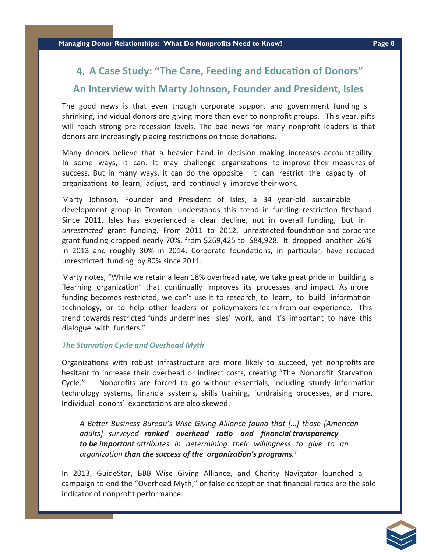## **4. A Case Study: "The Care, Feeding and Education of Donors"**

## **An Interview with Marty Johnson, Founder and President, Isles**

The good news is that even though corporate support and government funding is shrinking, individual donors are giving more than ever to nonprofit groups. This year, gifts will reach strong pre-recession levels. The bad news for many nonprofit leaders is that donors are increasingly placing restrictions on those donations.

Many donors believe that a heavier hand in decision making increases accountability. In some ways, it can. It may challenge organizations to improve their measures of success. But in many ways, it can do the opposite. It can restrict the capacity of organizations to learn, adjust, and continually improve their work.

Marty Johnson, Founder and President of Isles, a 34 year-old sustainable development group in Trenton, understands this trend in funding restriction firsthand. Since 2011, Isles has experienced a clear decline, not in overall funding, but in *unrestricted* grant funding. From 2011 to 2012, unrestricted foundation and corporate grant funding dropped nearly 70%, from \$269,425 to \$84,928. It dropped another 26% in 2013 and roughly 30% in 2014. Corporate foundations, in particular, have reduced unrestricted funding by 80% since 2011.

Marty notes, "While we retain a lean 18% overhead rate, we take great pride in building a 'learning organization' that continually improves its processes and impact. As more funding becomes restricted, we can't use it to research, to learn, to build information technology, or to help other leaders or policymakers learn from our experience. This trend towards restricted funds undermines Isles' work, and it's important to have this dialogue with funders."

## *The StarvaƟon Cycle and Overhead Myth*

Organizations with robust infrastructure are more likely to succeed, yet nonprofits are hesitant to increase their overhead or indirect costs, creating "The Nonprofit Starvation Cycle." Nonprofits are forced to go without essentials, including sturdy information technology systems, financial systems, skills training, fundraising processes, and more. Individual donors' expectations are also skewed:

*A BeƩer Business Bureau's Wise Giving Alliance found that […] those [American adults] surveyed ranked overhead raƟo and Įnancial transparency to be important attributes* in determining their willingness to give to an *organization* than the success of the organization's programs.<sup>1</sup>

In 2013, GuideStar, BBB Wise Giving Alliance, and Charity Navigator launched a campaign to end the "Overhead Myth," or false conception that financial ratios are the sole indicator of nonprofit performance.